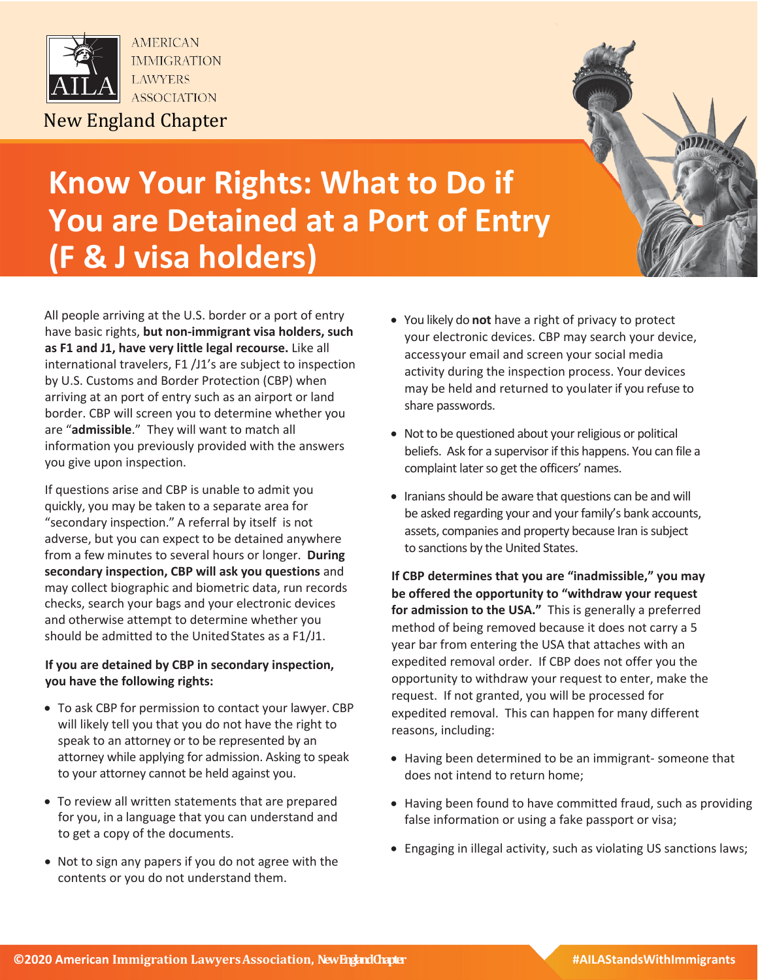



## **Know Your Rights: What to Do if You are Detained at a Port of Entry (F & J visa holders)**

All people arriving at the U.S. border or a port of entry have basic rights, **but non-immigrant visa holders, such as F1 and J1, have very little legal recourse.** Like all international travelers, F1 /J1's are subject to inspection by U.S. Customs and Border Protection (CBP) when arriving at an port of entry such as an airport or land border. CBP will screen you to determine whether you are "**admissible**." They will want to match all information you previously provided with the answers you give upon inspection.

If questions arise and CBP is unable to admit you quickly, you may be taken to a separate area for "secondary inspection." A referral by itself is not adverse, but you can expect to be detained anywhere from a few minutes to several hours or longer. **During secondary inspection, CBP will ask you questions** and may collect biographic and biometric data, run records checks, search your bags and your electronic devices and otherwise attempt to determine whether you should be admitted to the UnitedStates as a F1/J1.

## **If you are detained by CBP in secondary inspection, you have the following rights:**

- To ask CBP for permission to contact your lawyer. CBP will likely tell you that you do not have the right to speak to an attorney or to be represented by an attorney while applying for admission. Asking to speak to your attorney cannot be held against you.
- To review all written statements that are prepared for you, in a language that you can understand and to get a copy of the documents.
- Not to sign any papers if you do not agree with the contents or you do not understand them.
- You likely do **not** have a right of privacy to protect your electronic devices. CBP may search your device, accessyour email and screen your social media activity during the inspection process. Your devices may be held and returned to youlater if you refuse to share passwords.
- Not to be questioned about your religious or political beliefs. Ask for a supervisor if this happens. You can file a complaint later so get the officers' names.
- Iranians should be aware that questions can be and will be asked regarding your and your family's bank accounts, assets, companies and property because Iran is subject to sanctions by the United States.

**If CBP determines that you are "inadmissible," you may be offered the opportunity to "withdraw your request for admission to the USA."** This is generally a preferred method of being removed because it does not carry a 5 year bar from entering the USA that attaches with an expedited removal order. If CBP does not offer you the opportunity to withdraw your request to enter, make the request. If not granted, you will be processed for expedited removal. This can happen for many different reasons, including:

- Having been determined to be an immigrant- someone that does not intend to return home;
- Having been found to have committed fraud, such as providing false information or using a fake passport or visa;
- Engaging in illegal activity, such as violating US sanctions laws;